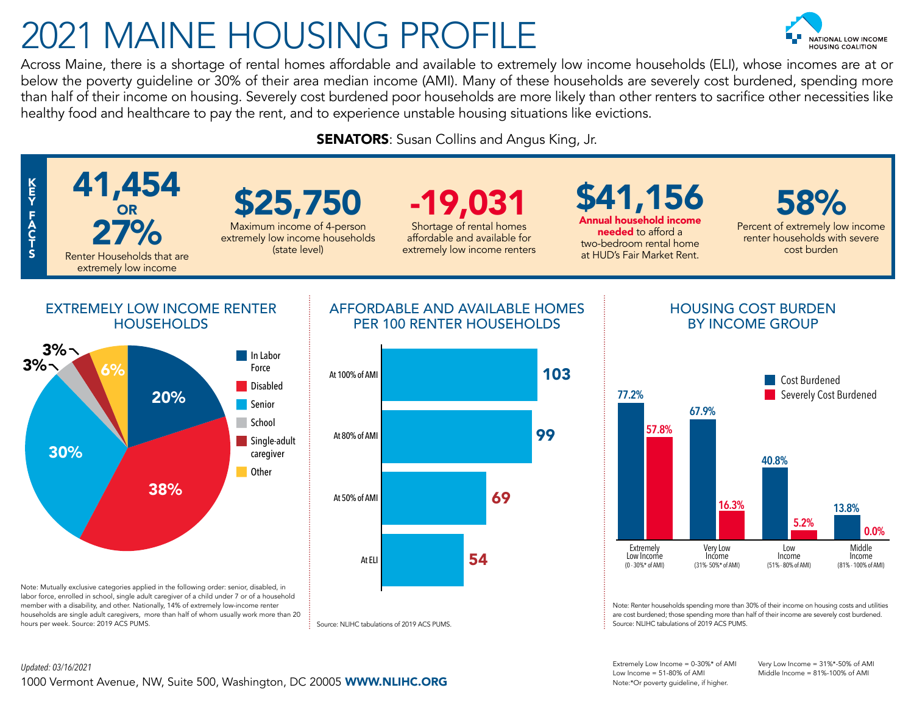# 2021 MAINE HOUSING PROFILE



Across Maine, there is a shortage of rental homes affordable and available to extremely low income households (ELI), whose incomes are at or below the poverty guideline or 30% of their area median income (AMI). Many of these households are severely cost burdened, spending more than half of their income on housing. Severely cost burdened poor households are more likely than other renters to sacrifice other necessities like healthy food and healthcare to pay the rent, and to experience unstable housing situations like evictions.

**SENATORS:** Susan Collins and Angus King, Jr.



Extremely Low Income = 0-30%\* of AMI Very Low Income = 31%\*-50% of AMI Low Income = 51-80% of AMI Middle Income = 81%-100% of AMI Note:\*Or poverty guideline, if higher.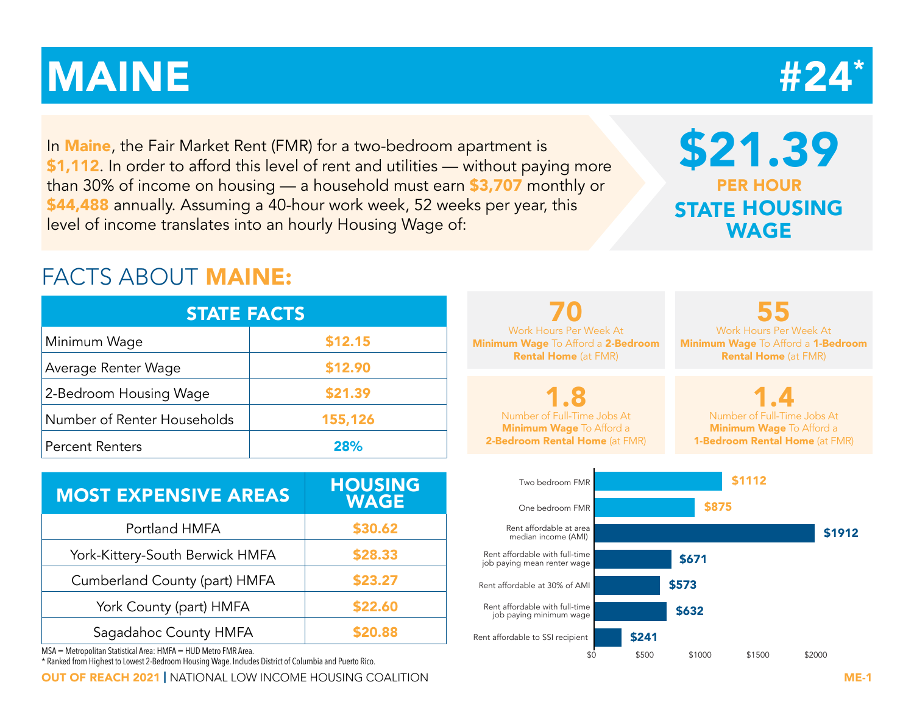# STATE RANKING  $\#24^*$

In **Maine**, the Fair Market Rent (FMR) for a two-bedroom apartment is \$1,112. In order to afford this level of rent and utilities — without paying more than 30% of income on housing — a household must earn \$3,707 monthly or \$44,488 annually. Assuming a 40-hour work week, 52 weeks per year, this level of income translates into an hourly Housing Wage of:

## \$21.39 PER HOUR STATE HOUSING WAGE

## FACTS ABOUT MAINE:

| <b>STATE FACTS</b>          |         |  |  |  |  |  |  |  |
|-----------------------------|---------|--|--|--|--|--|--|--|
| Minimum Wage                | \$12.15 |  |  |  |  |  |  |  |
| Average Renter Wage         | \$12.90 |  |  |  |  |  |  |  |
| 2-Bedroom Housing Wage      | \$21.39 |  |  |  |  |  |  |  |
| Number of Renter Households | 155,126 |  |  |  |  |  |  |  |
| <b>Percent Renters</b>      | 28%     |  |  |  |  |  |  |  |

| <b>MOST EXPENSIVE AREAS</b>     | <b>HOUSING</b><br><b>WAGE</b> |
|---------------------------------|-------------------------------|
| Portland HMFA                   | \$30.62                       |
| York-Kittery-South Berwick HMFA | \$28.33                       |
| Cumberland County (part) HMFA   | \$23.27                       |
| York County (part) HMFA         | \$22.60                       |
| Sagadahoc County HMFA           | \$20.88                       |

MSA = Metropolitan Statistical Area: HMFA = HUD Metro FMR Area.

\* Ranked from Highest to Lowest 2-Bedroom Housing Wage. Includes District of Columbia and Puerto Rico.

OUT OF REACH 2021 | NATIONAL LOW INCOME HOUSING COALITION ME-1

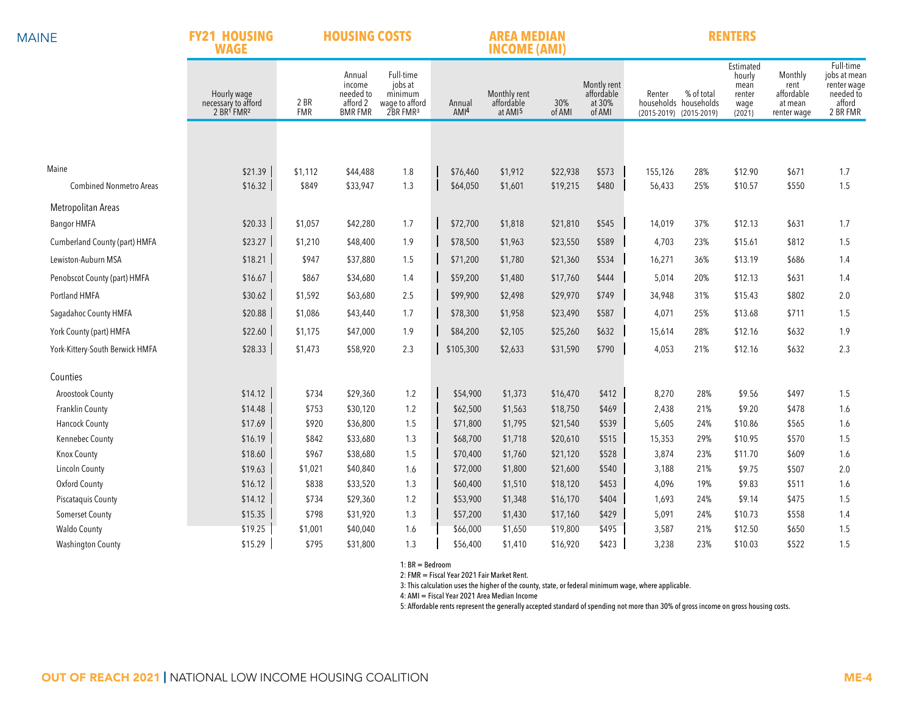### **FY21 HOUSING HOUSING COSTS**

### **AREA MEDIAN RENTERS**

|                                 | <b>WAGE</b><br><b>INCOME (AMI)</b>                                       |                    |                                                             |                                                                           |  |                            |                                                   |               |                                               |                                   |                                     |                                                         |                                                         |                                                                             |
|---------------------------------|--------------------------------------------------------------------------|--------------------|-------------------------------------------------------------|---------------------------------------------------------------------------|--|----------------------------|---------------------------------------------------|---------------|-----------------------------------------------|-----------------------------------|-------------------------------------|---------------------------------------------------------|---------------------------------------------------------|-----------------------------------------------------------------------------|
|                                 | Hourly wage<br>necessary to afford<br>2 BR <sup>1</sup> FMR <sup>2</sup> | 2 BR<br><b>FMR</b> | Annual<br>income<br>needed to<br>afford 2<br><b>BMR FMR</b> | Full-time<br>jobs at<br>minimum<br>wage to afford<br>2BR FMR <sup>3</sup> |  | Annual<br>AMI <sup>4</sup> | Monthly rent<br>affordable<br>at AMI <sup>5</sup> | 30%<br>of AMI | Montly rent<br>affordable<br>at 30%<br>of AMI | Renter<br>(2015-2019) (2015-2019) | % of total<br>households households | Estimated<br>hourly<br>mean<br>renter<br>wage<br>(2021) | Monthly<br>rent<br>affordable<br>at mean<br>renter wage | Full-time<br>jobs at mean<br>renter wage<br>needed to<br>afford<br>2 BR FMR |
|                                 |                                                                          |                    |                                                             |                                                                           |  |                            |                                                   |               |                                               |                                   |                                     |                                                         |                                                         |                                                                             |
|                                 |                                                                          |                    |                                                             |                                                                           |  |                            |                                                   |               |                                               |                                   |                                     |                                                         |                                                         |                                                                             |
| Maine                           | \$21.39                                                                  | \$1,112            | \$44,488                                                    | 1.8                                                                       |  | \$76,460                   | \$1,912                                           | \$22,938      | \$573                                         | 155,126                           | 28%                                 | \$12.90                                                 | \$671                                                   | 1.7                                                                         |
| <b>Combined Nonmetro Areas</b>  | \$16.32                                                                  | \$849              | \$33,947                                                    | 1.3                                                                       |  | \$64,050                   | \$1,601                                           | \$19,215      | \$480                                         | 56,433                            | 25%                                 | \$10.57                                                 | \$550                                                   | 1.5                                                                         |
| Metropolitan Areas              |                                                                          |                    |                                                             |                                                                           |  |                            |                                                   |               |                                               |                                   |                                     |                                                         |                                                         |                                                                             |
| <b>Bangor HMFA</b>              | \$20.33                                                                  | \$1,057            | \$42,280                                                    | 1.7                                                                       |  | \$72,700                   | \$1,818                                           | \$21,810      | \$545                                         | 14,019                            | 37%                                 | \$12.13                                                 | \$631                                                   | 1.7                                                                         |
| Cumberland County (part) HMFA   | \$23.27                                                                  | \$1,210            | \$48,400                                                    | 1.9                                                                       |  | \$78,500                   | \$1,963                                           | \$23,550      | \$589                                         | 4,703                             | 23%                                 | \$15.61                                                 | \$812                                                   | 1.5                                                                         |
| Lewiston-Auburn MSA             | \$18.21                                                                  | \$947              | \$37,880                                                    | 1.5                                                                       |  | \$71,200                   | \$1,780                                           | \$21,360      | \$534                                         | 16,271                            | 36%                                 | \$13.19                                                 | \$686                                                   | 1.4                                                                         |
| Penobscot County (part) HMFA    | \$16.67                                                                  | \$867              | \$34,680                                                    | 1.4                                                                       |  | \$59,200                   | \$1,480                                           | \$17,760      | \$444                                         | 5,014                             | 20%                                 | \$12.13                                                 | \$631                                                   | 1.4                                                                         |
| Portland HMFA                   | \$30.62                                                                  | \$1,592            | \$63,680                                                    | 2.5                                                                       |  | \$99,900                   | \$2,498                                           | \$29,970      | \$749                                         | 34,948                            | 31%                                 | \$15.43                                                 | \$802                                                   | 2.0                                                                         |
| Sagadahoc County HMFA           | \$20.88                                                                  | \$1,086            | \$43,440                                                    | 1.7                                                                       |  | \$78,300                   | \$1,958                                           | \$23,490      | \$587                                         | 4,071                             | 25%                                 | \$13.68                                                 | \$711                                                   | 1.5                                                                         |
| York County (part) HMFA         | \$22.60                                                                  | \$1,175            | \$47,000                                                    | 1.9                                                                       |  | \$84,200                   | \$2,105                                           | \$25,260      | \$632                                         | 15,614                            | 28%                                 | \$12.16                                                 | \$632                                                   | 1.9                                                                         |
| York-Kittery-South Berwick HMFA | \$28.33                                                                  | \$1,473            | \$58,920                                                    | 2.3                                                                       |  | \$105,300                  | \$2,633                                           | \$31,590      | \$790                                         | 4,053                             | 21%                                 | \$12.16                                                 | \$632                                                   | 2.3                                                                         |
| Counties                        |                                                                          |                    |                                                             |                                                                           |  |                            |                                                   |               |                                               |                                   |                                     |                                                         |                                                         |                                                                             |
| Aroostook County                | \$14.12                                                                  | \$734              | \$29,360                                                    | 1.2                                                                       |  | \$54,900                   | \$1,373                                           | \$16,470      | \$412                                         | 8,270                             | 28%                                 | \$9.56                                                  | \$497                                                   | 1.5                                                                         |
| <b>Franklin County</b>          | \$14.48                                                                  | \$753              | \$30,120                                                    | 1.2                                                                       |  | \$62,500                   | \$1,563                                           | \$18,750      | \$469                                         | 2,438                             | 21%                                 | \$9.20                                                  | \$478                                                   | 1.6                                                                         |
| <b>Hancock County</b>           | \$17.69                                                                  | \$920              | \$36,800                                                    | 1.5                                                                       |  | \$71,800                   | \$1,795                                           | \$21,540      | \$539                                         | 5,605                             | 24%                                 | \$10.86                                                 | \$565                                                   | 1.6                                                                         |
| Kennebec County                 | \$16.19                                                                  | \$842              | \$33,680                                                    | 1.3                                                                       |  | \$68,700                   | \$1,718                                           | \$20,610      | \$515                                         | 15,353                            | 29%                                 | \$10.95                                                 | \$570                                                   | 1.5                                                                         |
| Knox County                     | \$18.60                                                                  | \$967              | \$38,680                                                    | 1.5                                                                       |  | \$70,400                   | \$1,760                                           | \$21,120      | \$528                                         | 3,874                             | 23%                                 | \$11.70                                                 | \$609                                                   | 1.6                                                                         |
| <b>Lincoln County</b>           | \$19.63                                                                  | \$1,021            | \$40,840                                                    | 1.6                                                                       |  | \$72,000                   | \$1,800                                           | \$21,600      | \$540                                         | 3,188                             | 21%                                 | \$9.75                                                  | \$507                                                   | 2.0                                                                         |
| Oxford County                   | \$16.12                                                                  | \$838              | \$33,520                                                    | 1.3                                                                       |  | \$60,400                   | \$1,510                                           | \$18,120      | \$453                                         | 4,096                             | 19%                                 | \$9.83                                                  | \$511                                                   | 1.6                                                                         |
| Piscataquis County              | \$14.12                                                                  | \$734              | \$29,360                                                    | 1.2                                                                       |  | \$53,900                   | \$1,348                                           | \$16,170      | \$404                                         | 1,693                             | 24%                                 | \$9.14                                                  | \$475                                                   | 1.5                                                                         |
| <b>Somerset County</b>          | \$15.35                                                                  | \$798              | \$31,920                                                    | 1.3                                                                       |  | \$57,200                   | \$1,430                                           | \$17,160      | \$429                                         | 5,091                             | 24%                                 | \$10.73                                                 | \$558                                                   | 1.4                                                                         |
| <b>Waldo County</b>             | \$19.25                                                                  | \$1,001            | \$40,040                                                    | 1.6                                                                       |  | \$66,000                   | \$1,650                                           | \$19,800      | \$495                                         | 3,587                             | 21%                                 | \$12.50                                                 | \$650                                                   | 1.5                                                                         |
| <b>Washington County</b>        | \$15.29                                                                  | \$795              | \$31,800                                                    | 1.3                                                                       |  | \$56,400                   | \$1,410                                           | \$16,920      | \$423                                         | 3,238                             | 23%                                 | \$10.03                                                 | \$522                                                   | 1.5                                                                         |

1: BR = Bedroom

2: FMR = Fiscal Year 2021 Fair Market Rent.

3: This calculation uses the higher of the county, state, or federal minimum wage, where applicable.

4: AMI = Fiscal Year 2021 Area Median Income

5: Affordable rents represent the generally accepted standard of spending not more than 30% of gross income on gross housing costs.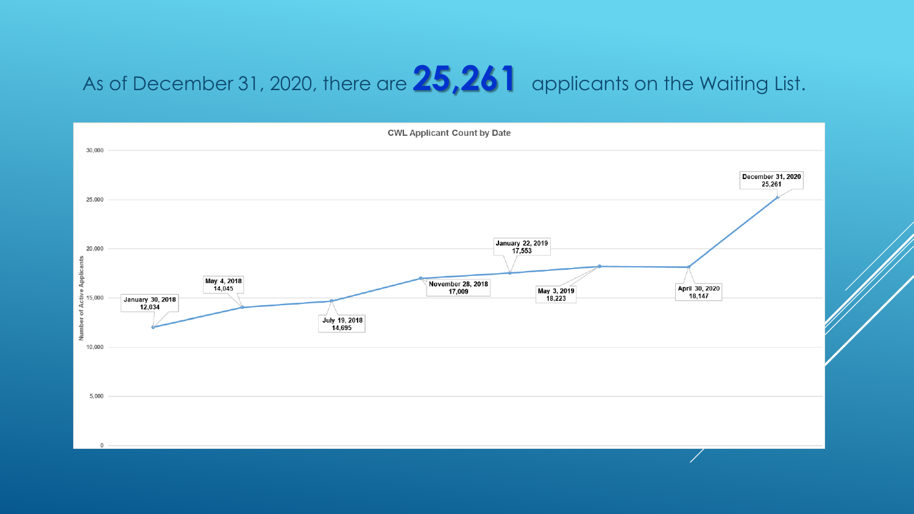# As of December 31, 2020, there are **25,261** applicants on the Waiting List.

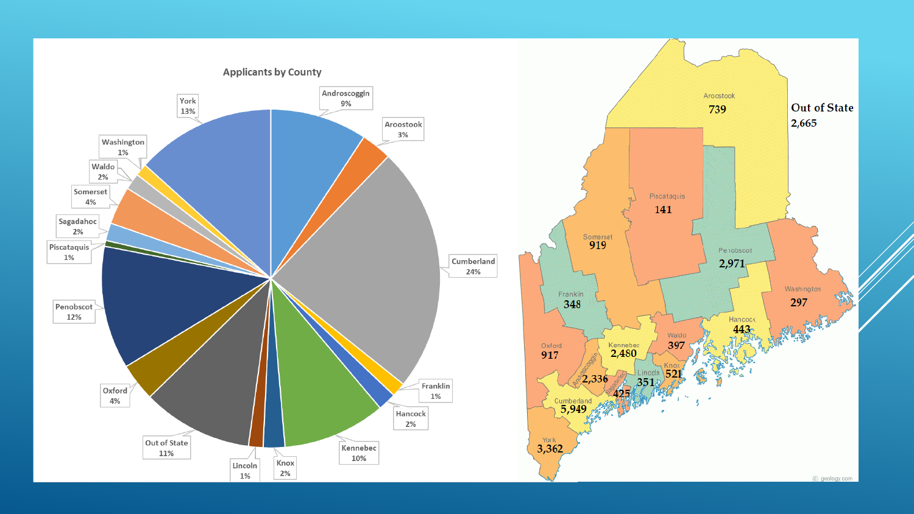